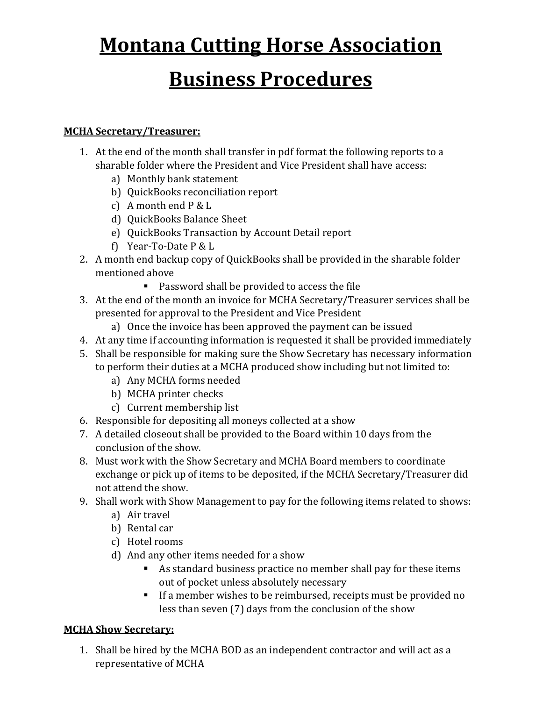# **Montana Cutting Horse Association**

## **Business Procedures**

#### **MCHA Secretary/Treasurer:**

- 1. At the end of the month shall transfer in pdf format the following reports to a sharable folder where the President and Vice President shall have access:
	- a) Monthly bank statement
	- b) QuickBooks reconciliation report
	- c) A month end P & L
	- d) QuickBooks Balance Sheet
	- e) QuickBooks Transaction by Account Detail report
	- f) Year-To-Date P & L
- 2. A month end backup copy of QuickBooks shall be provided in the sharable folder mentioned above
	- Password shall be provided to access the file
- 3. At the end of the month an invoice for MCHA Secretary/Treasurer services shall be presented for approval to the President and Vice President
	- a) Once the invoice has been approved the payment can be issued
- 4. At any time if accounting information is requested it shall be provided immediately
- 5. Shall be responsible for making sure the Show Secretary has necessary information to perform their duties at a MCHA produced show including but not limited to:
	- a) Any MCHA forms needed
	- b) MCHA printer checks
	- c) Current membership list
- 6. Responsible for depositing all moneys collected at a show
- 7. A detailed closeout shall be provided to the Board within 10 days from the conclusion of the show.
- 8. Must work with the Show Secretary and MCHA Board members to coordinate exchange or pick up of items to be deposited, if the MCHA Secretary/Treasurer did not attend the show.
- 9. Shall work with Show Management to pay for the following items related to shows:
	- a) Air travel
	- b) Rental car
	- c) Hotel rooms
	- d) And any other items needed for a show
		- As standard business practice no member shall pay for these items out of pocket unless absolutely necessary
		- If a member wishes to be reimbursed, receipts must be provided no less than seven (7) days from the conclusion of the show

#### **MCHA Show Secretary:**

1. Shall be hired by the MCHA BOD as an independent contractor and will act as a representative of MCHA